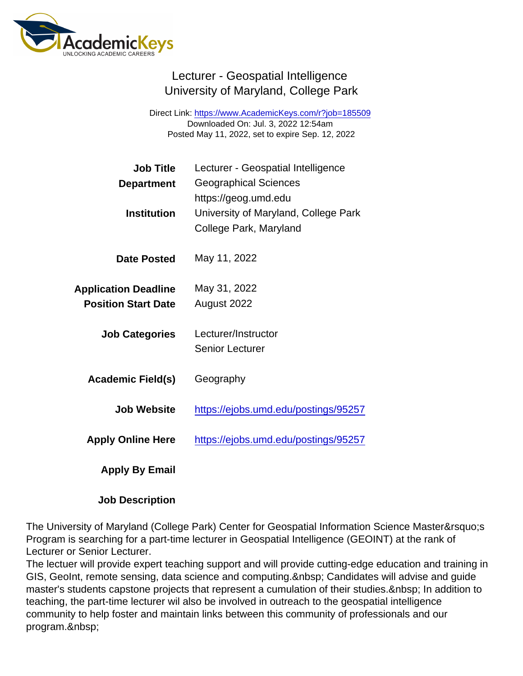## Lecturer - Geospatial Intelligence University of Maryland, College Park

Direct Link: <https://www.AcademicKeys.com/r?job=185509> Downloaded On: Jul. 3, 2022 12:54am Posted May 11, 2022, set to expire Sep. 12, 2022

| <b>Job Title</b>            | Lecturer - Geospatial Intelligence   |
|-----------------------------|--------------------------------------|
| Department                  | <b>Geographical Sciences</b>         |
|                             | https://geog.umd.edu                 |
| Institution                 | University of Maryland, College Park |
|                             | College Park, Maryland               |
| Date Posted                 | May 11, 2022                         |
| <b>Application Deadline</b> | May 31, 2022                         |
| <b>Position Start Date</b>  | August 2022                          |
| <b>Job Categories</b>       | Lecturer/Instructor                  |
|                             | <b>Senior Lecturer</b>               |
| Academic Field(s)           | Geography                            |
| Job Website                 | https://ejobs.umd.edu/postings/95257 |
|                             |                                      |
| <b>Apply Online Here</b>    | https://ejobs.umd.edu/postings/95257 |
| Apply By Email              |                                      |
|                             |                                      |

Job Description

The University of Maryland (College Park) Center for Geospatial Information Science Master's Program is searching for a part-time lecturer in Geospatial Intelligence (GEOINT) at the rank of Lecturer or Senior Lecturer.

The lectuer will provide expert teaching support and will provide cutting-edge education and training in GIS, GeoInt, remote sensing, data science and computing. & nbsp; Candidates will advise and guide master's students capstone projects that represent a cumulation of their studies. In addition to teaching, the part-time lecturer wil also be involved in outreach to the geospatial intelligence community to help foster and maintain links between this community of professionals and our program.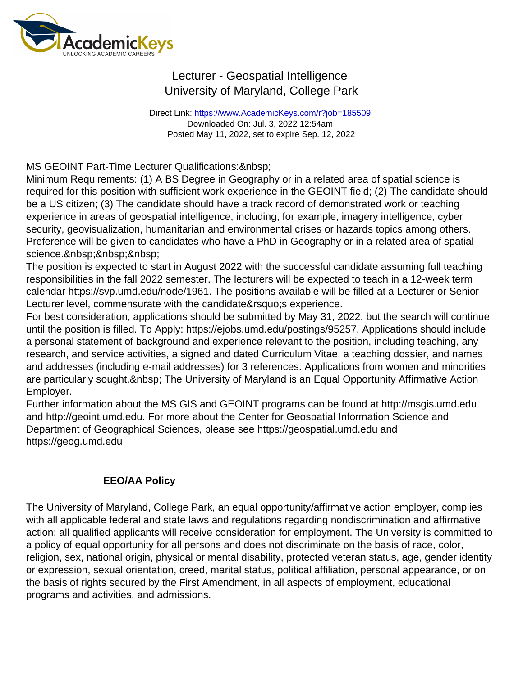## Lecturer - Geospatial Intelligence University of Maryland, College Park

Direct Link: <https://www.AcademicKeys.com/r?job=185509> Downloaded On: Jul. 3, 2022 12:54am Posted May 11, 2022, set to expire Sep. 12, 2022

MS GEOINT Part-Time Lecturer Qualifications:

Minimum Requirements: (1) A BS Degree in Geography or in a related area of spatial science is required for this position with sufficient work experience in the GEOINT field; (2) The candidate should be a US citizen; (3) The candidate should have a track record of demonstrated work or teaching experience in areas of geospatial intelligence, including, for example, imagery intelligence, cyber security, geovisualization, humanitarian and environmental crises or hazards topics among others. Preference will be given to candidates who have a PhD in Geography or in a related area of spatial science.

The position is expected to start in August 2022 with the successful candidate assuming full teaching responsibilities in the fall 2022 semester. The lecturers will be expected to teach in a 12-week term calendar https://svp.umd.edu/node/1961. The positions available will be filled at a Lecturer or Senior Lecturer level, commensurate with the candidate' s experience.

For best consideration, applications should be submitted by May 31, 2022, but the search will continue until the position is filled. To Apply: https://ejobs.umd.edu/postings/95257. Applications should include a personal statement of background and experience relevant to the position, including teaching, any research, and service activities, a signed and dated Curriculum Vitae, a teaching dossier, and names and addresses (including e-mail addresses) for 3 references. Applications from women and minorities are particularly sought. & nbsp; The University of Maryland is an Equal Opportunity Affirmative Action Employer.

Further information about the MS GIS and GEOINT programs can be found at http://msgis.umd.edu and http://geoint.umd.edu. For more about the Center for Geospatial Information Science and Department of Geographical Sciences, please see https://geospatial.umd.edu and https://geog.umd.edu

## EEO/AA Policy

The University of Maryland, College Park, an equal opportunity/affirmative action employer, complies with all applicable federal and state laws and regulations regarding nondiscrimination and affirmative action; all qualified applicants will receive consideration for employment. The University is committed to a policy of equal opportunity for all persons and does not discriminate on the basis of race, color, religion, sex, national origin, physical or mental disability, protected veteran status, age, gender identity or expression, sexual orientation, creed, marital status, political affiliation, personal appearance, or on the basis of rights secured by the First Amendment, in all aspects of employment, educational programs and activities, and admissions.